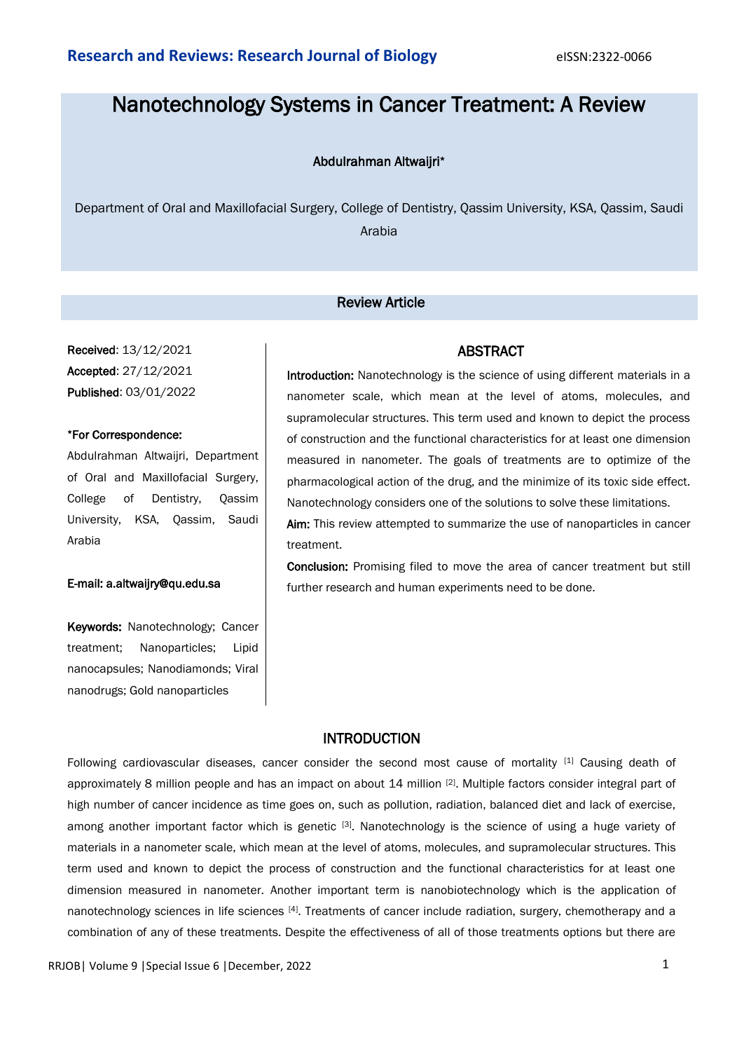# Nanotechnology Systems in Cancer Treatment: A Review

## Abdulrahman Altwaijri\*

Department of Oral and Maxillofacial Surgery, College of Dentistry, Qassim University, KSA, Qassim, Saudi Arabia

# Review Article

Received: 13/12/2021 Accepted: 27/12/2021 Published: 03/01/2022

#### \*For Correspondence:

Abdulrahman Altwaijri, Department of Oral and Maxillofacial Surgery, College of Dentistry, Qassim University, KSA, Qassim, Saudi Arabia

#### E-mail: a.altwaijry@qu.edu.sa

Keywords: Nanotechnology; Cancer treatment; Nanoparticles; Lipid nanocapsules; Nanodiamonds; Viral nanodrugs; Gold nanoparticles

#### **ABSTRACT**

Introduction: Nanotechnology is the science of using different materials in a nanometer scale, which mean at the level of atoms, molecules, and supramolecular structures. This term used and known to depict the process of construction and the functional characteristics for at least one dimension measured in nanometer. The goals of treatments are to optimize of the pharmacological action of the drug, and the minimize of its toxic side effect. Nanotechnology considers one of the solutions to solve these limitations.

Aim: This review attempted to summarize the use of nanoparticles in cancer treatment.

Conclusion: Promising filed to move the area of cancer treatment but still further research and human experiments need to be done.

## INTRODUCTION

Following cardiovascular diseases, cancer consider the second most cause of mortality [1] Causing death of approximately 8 million people and has an impact on about 14 million [2]. Multiple factors consider integral part of high number of cancer incidence as time goes on, such as pollution, radiation, balanced diet and lack of exercise, among another important factor which is genetic [3]. Nanotechnology is the science of using a huge variety of materials in a nanometer scale, which mean at the level of atoms, molecules, and supramolecular structures. This term used and known to depict the process of construction and the functional characteristics for at least one dimension measured in nanometer. Another important term is nanobiotechnology which is the application of nanotechnology sciences in life sciences [4]. Treatments of cancer include radiation, surgery, chemotherapy and a combination of any of these treatments. Despite the effectiveness of all of those treatments options but there are

RRJOB| Volume 9 |Special Issue 6 |December, 2022 1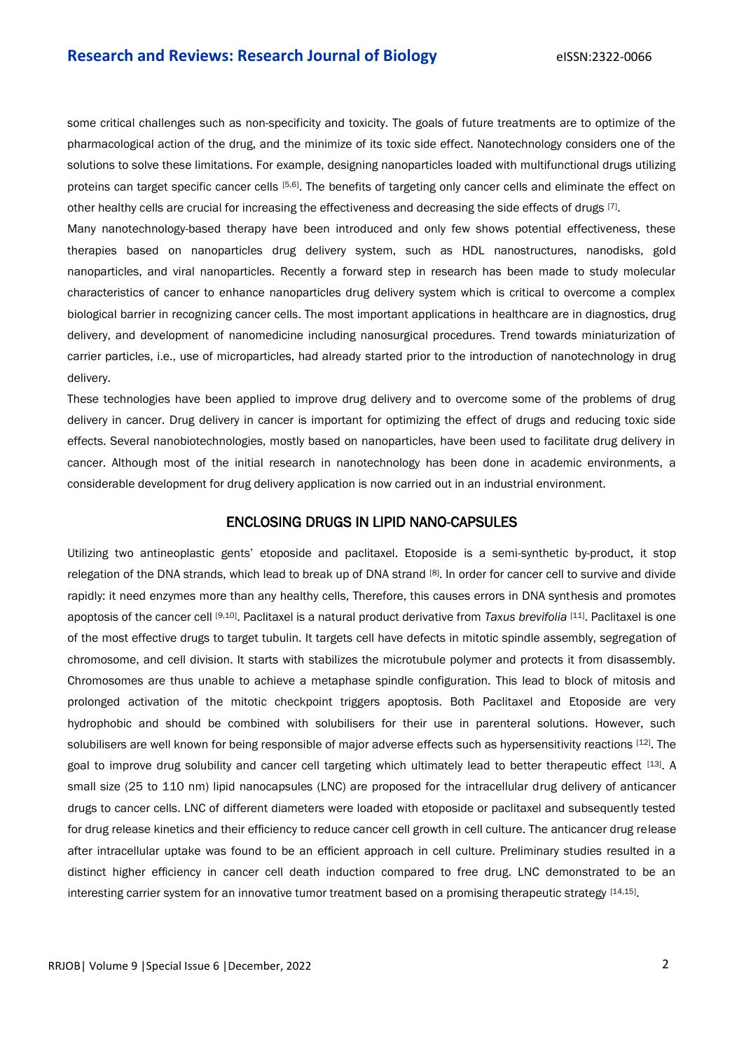## **Research and Reviews: Research Journal of Biology <b>Example 2018** eISSN:2322-0066

some critical challenges such as non-specificity and toxicity. The goals of future treatments are to optimize of the pharmacological action of the drug, and the minimize of its toxic side effect. Nanotechnology considers one of the solutions to solve these limitations. For example, designing nanoparticles loaded with multifunctional drugs utilizing proteins can target specific cancer cells [5,6]. The benefits of targeting only cancer cells and eliminate the effect on other healthy cells are crucial for increasing the effectiveness and decreasing the side effects of drugs [7].

Many nanotechnology-based therapy have been introduced and only few shows potential effectiveness, these therapies based on nanoparticles drug delivery system, such as HDL nanostructures, nanodisks, gold nanoparticles, and viral nanoparticles. Recently a forward step in research has been made to study molecular characteristics of cancer to enhance nanoparticles drug delivery system which is critical to overcome a complex biological barrier in recognizing cancer cells. The most important applications in healthcare are in diagnostics, drug delivery, and development of nanomedicine including nanosurgical procedures. Trend towards miniaturization of carrier particles, i.e., use of microparticles, had already started prior to the introduction of nanotechnology in drug delivery.

These technologies have been applied to improve drug delivery and to overcome some of the problems of drug delivery in cancer. Drug delivery in cancer is important for optimizing the effect of drugs and reducing toxic side effects. Several nanobiotechnologies, mostly based on nanoparticles, have been used to facilitate drug delivery in cancer. Although most of the initial research in nanotechnology has been done in academic environments, a considerable development for drug delivery application is now carried out in an industrial environment.

## ENCLOSING DRUGS IN LIPID NANO-CAPSULES

Utilizing two antineoplastic gents' etoposide and paclitaxel. Etoposide is a semi-synthetic by-product, it stop relegation of the DNA strands, which lead to break up of DNA strand [8]. In order for cancer cell to survive and divide rapidly: it need enzymes more than any healthy cells, Therefore, this causes errors in DNA synthesis and promotes apoptosis of the cancer cell [9,10]. Paclitaxel is a natural product derivative from *Taxus brevifolia* [11]. Paclitaxel is one of the most effective drugs to target tubulin. It targets cell have defects in mitotic spindle assembly, segregation of chromosome, and cell division. It starts with stabilizes the microtubule polymer and protects it from disassembly. Chromosomes are thus unable to achieve a metaphase spindle configuration. This lead to block of mitosis and prolonged activation of the mitotic checkpoint triggers apoptosis. Both Paclitaxel and Etoposide are very hydrophobic and should be combined with solubilisers for their use in parenteral solutions. However, such solubilisers are well known for being responsible of major adverse effects such as hypersensitivity reactions [12]. The goal to improve drug solubility and cancer cell targeting which ultimately lead to better therapeutic effect [13]. A small size (25 to 110 nm) lipid nanocapsules (LNC) are proposed for the intracellular drug delivery of anticancer drugs to cancer cells. LNC of different diameters were loaded with etoposide or paclitaxel and subsequently tested for drug release kinetics and their efficiency to reduce cancer cell growth in cell culture. The anticancer drug release after intracellular uptake was found to be an efficient approach in cell culture. Preliminary studies resulted in a distinct higher efficiency in cancer cell death induction compared to free drug. LNC demonstrated to be an interesting carrier system for an innovative tumor treatment based on a promising therapeutic strategy [14,15].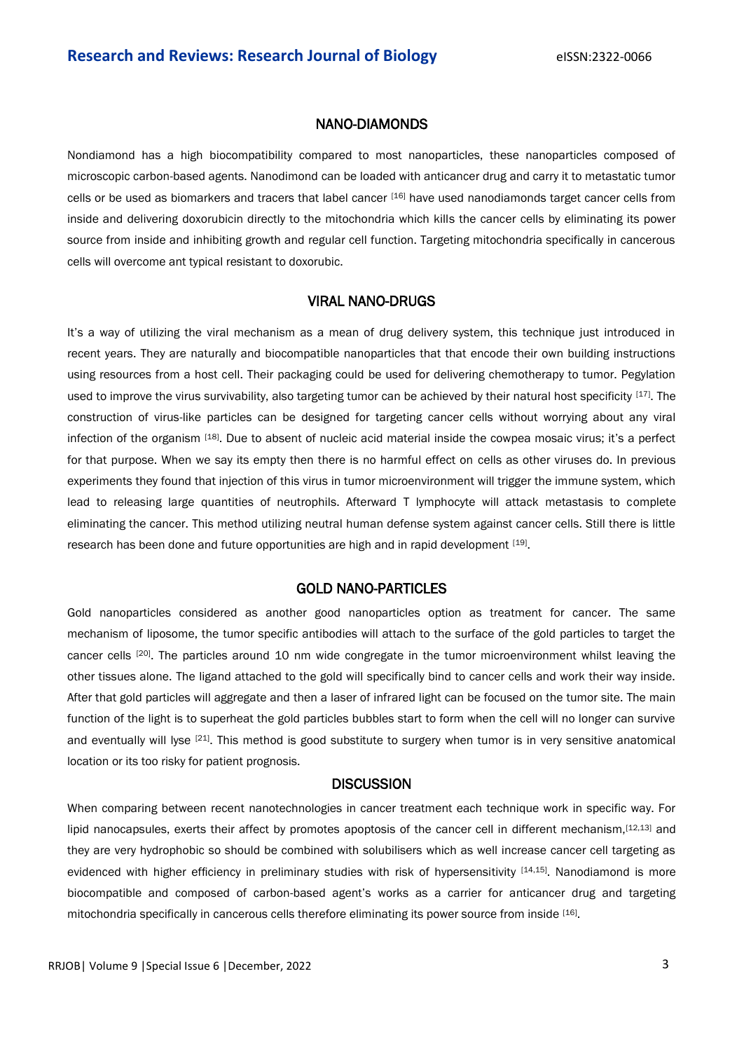# NANO-DIAMONDS

Nondiamond has a high biocompatibility compared to most nanoparticles, these nanoparticles composed of microscopic carbon-based agents. Nanodimond can be loaded with anticancer drug and carry it to metastatic tumor cells or be used as biomarkers and tracers that label cancer [16] have used nanodiamonds target cancer cells from inside and delivering doxorubicin directly to the mitochondria which kills the cancer cells by eliminating its power source from inside and inhibiting growth and regular cell function. Targeting mitochondria specifically in cancerous cells will overcome ant typical resistant to doxorubic.

## VIRAL NANO-DRUGS

It's a way of utilizing the viral mechanism as a mean of drug delivery system, this technique just introduced in recent years. They are naturally and biocompatible nanoparticles that that encode their own building instructions using resources from a host cell. Their packaging could be used for delivering chemotherapy to tumor. Pegylation used to improve the virus survivability, also targeting tumor can be achieved by their natural host specificity [17]. The construction of virus-like particles can be designed for targeting cancer cells without worrying about any viral infection of the organism [18]. Due to absent of nucleic acid material inside the cowpea mosaic virus; it's a perfect for that purpose. When we say its empty then there is no harmful effect on cells as other viruses do. In previous experiments they found that injection of this virus in tumor microenvironment will trigger the immune system, which lead to releasing large quantities of neutrophils. Afterward T lymphocyte will attack metastasis to complete eliminating the cancer. This method utilizing neutral human defense system against cancer cells. Still there is little research has been done and future opportunities are high and in rapid development [19].

#### GOLD NANO-PARTICLES

Gold nanoparticles considered as another good nanoparticles option as treatment for cancer. The same mechanism of liposome, the tumor specific antibodies will attach to the surface of the gold particles to target the cancer cells [20]. The particles around 10 nm wide congregate in the tumor microenvironment whilst leaving the other tissues alone. The ligand attached to the gold will specifically bind to cancer cells and work their way inside. After that gold particles will aggregate and then a laser of infrared light can be focused on the tumor site. The main function of the light is to superheat the gold particles bubbles start to form when the cell will no longer can survive and eventually will lyse <sup>[21]</sup>. This method is good substitute to surgery when tumor is in very sensitive anatomical location or its too risky for patient prognosis.

#### **DISCUSSION**

When comparing between recent nanotechnologies in cancer treatment each technique work in specific way. For lipid nanocapsules, exerts their affect by promotes apoptosis of the cancer cell in different mechanism, [12,13] and they are very hydrophobic so should be combined with solubilisers which as well increase cancer cell targeting as evidenced with higher efficiency in preliminary studies with risk of hypersensitivity [14,15]. Nanodiamond is more biocompatible and composed of carbon-based agent's works as a carrier for anticancer drug and targeting mitochondria specifically in cancerous cells therefore eliminating its power source from inside [16].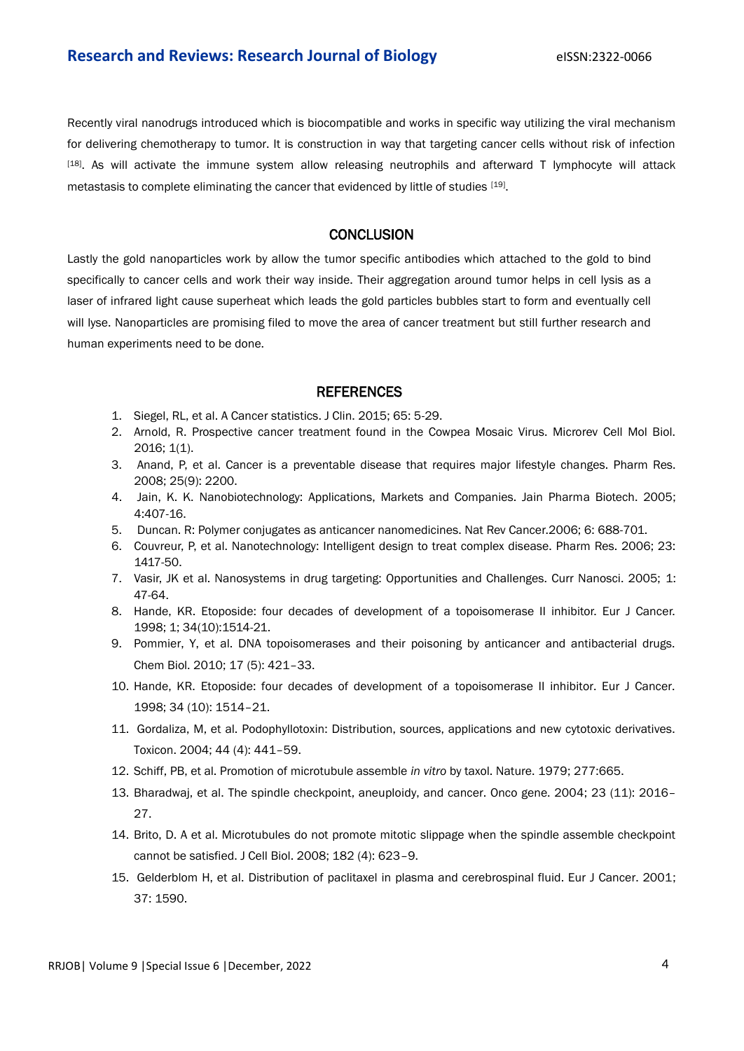# **Research and Reviews: Research Journal of Biology <b>Example 2018** eISSN:2322-0066

Recently viral nanodrugs introduced which is biocompatible and works in specific way utilizing the viral mechanism for delivering chemotherapy to tumor. It is construction in way that targeting cancer cells without risk of infection [18]. As will activate the immune system allow releasing neutrophils and afterward T lymphocyte will attack metastasis to complete eliminating the cancer that evidenced by little of studies [19].

## **CONCLUSION**

Lastly the gold nanoparticles work by allow the tumor specific antibodies which attached to the gold to bind specifically to cancer cells and work their way inside. Their aggregation around tumor helps in cell lysis as a laser of infrared light cause superheat which leads the gold particles bubbles start to form and eventually cell will lyse. Nanoparticles are promising filed to move the area of cancer treatment but still further research and human experiments need to be done.

#### **REFERENCES**

- 1. Siegel, RL, et al. A [Cancer statistics. J Clin. 2015; 65: 5-29.](https://doi.org/10.3322/caac.21254.)
- 2. Arnold, R. Prospective cancer treatment found in the Cowpea Mosaic Virus. Microrev Cell Mol Biol. 2016; 1(1).
- 3. Anand, P, et al. Cancer is a preventable disease that requires major lifestyle changes. Pharm Res. 2008; 25(9): 2200.
- 4. [Jain, K. K. Nanobiotechnology: Applications, Markets and Companies. Jain Pharma Biotech. 2005;](https://doi.org/10.1177/153303460500400408)  [4:407-16.](https://doi.org/10.1177/153303460500400408)
- 5. Duncan. R: Polymer conjugates as anticancer nanomedicines. Nat Rev Cancer.2006; 6: 688-701.
- 6. Couvreur, P, et al. Nanotechnology: Intelligent design to treat complex disease. Pharm Res. 2006; 23: [1417-50.](https://doi.org/10.1007/s11095-006-0284-8)
- 7. Vasir, JK et al. Nanosystems in drug targeting: Opportunities and Challenges. Curr Nanosci. 2005; 1: 47-64.
- 8. Hande, KR. Etoposide: four decades of development of a topoisomerase II inhibitor. Eur J Cancer. [1998; 1; 34\(10\):1514-21.](https://doi.org/10.1016/S0959-8049(98)00228-7)
- 9. Pommier, [Y, et al. DNA topoisomerases and their poisoning by anticancer and antibacterial drugs.](https://doi.org/10.1016/j.chembiol.2010.04.012)  Chem Biol. 2010; 17 (5): 421–33.
- 10. Hande, KR. Etoposide: four decades of development of a topoisomerase II inhibitor. Eur J Cancer. 1998; 34 (10): 1514–21.
- 11. Gordaliza, [M, et al. Podophyllotoxin: Distribution, sources, applications and new cytotoxic derivatives.](https://doi.org/10.1016/j.toxicon.2004.05.008)  [Toxicon. 2004;](https://doi.org/10.1016/j.toxicon.2004.05.008) 44 (4): 441–59.
- 12. Schiff, PB, et al. Promotion of microtubule assemble *in vitro* by taxol. Nature. 1979; 277:665.
- 13. Bharadwaj, et al. The spindle checkpoint, aneuploidy, and cancer. Onco gene. 2004; 23 (11): 2016– 27.
- 14. [Brito, D. A et al. Microtubules do not promote mitotic slippage when the spindle assemble checkpoint](https://doi.org/10.1083/jcb.200805072)  [cannot be satisfied. J Cell Biol. 2008; 182 \(4\): 623](https://doi.org/10.1083/jcb.200805072)-9.
- 15. Gelderblom H, et al. Distribution of paclitaxel in plasma and cerebrospinal fluid. Eur J Cancer. 2001; 37: 1590.